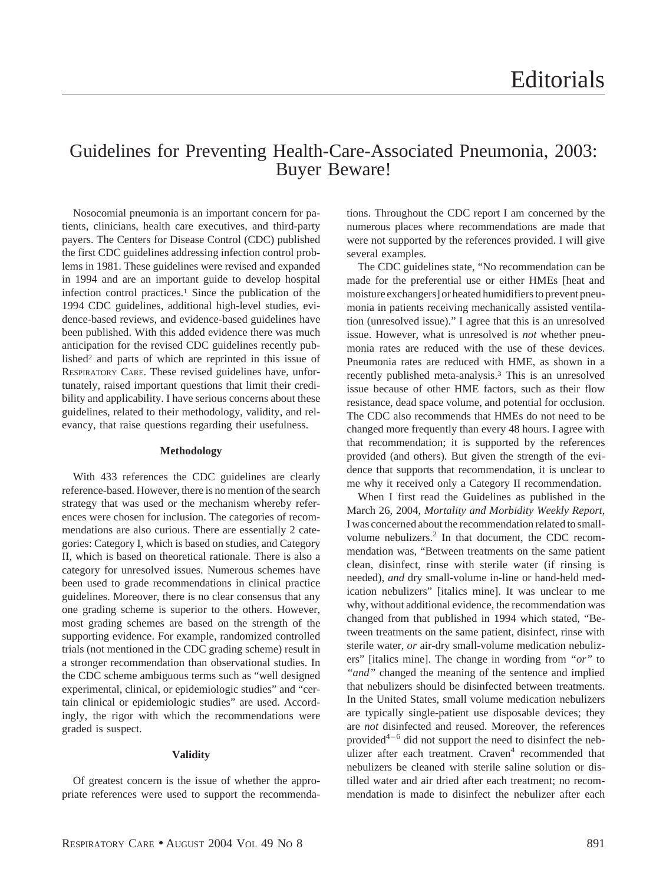# Guidelines for Preventing Health-Care-Associated Pneumonia, 2003: Buyer Beware!

Nosocomial pneumonia is an important concern for patients, clinicians, health care executives, and third-party payers. The Centers for Disease Control (CDC) published the first CDC guidelines addressing infection control problems in 1981. These guidelines were revised and expanded in 1994 and are an important guide to develop hospital infection control practices.1 Since the publication of the 1994 CDC guidelines, additional high-level studies, evidence-based reviews, and evidence-based guidelines have been published. With this added evidence there was much anticipation for the revised CDC guidelines recently published2 and parts of which are reprinted in this issue of RESPIRATORY CARE. These revised guidelines have, unfortunately, raised important questions that limit their credibility and applicability. I have serious concerns about these guidelines, related to their methodology, validity, and relevancy, that raise questions regarding their usefulness.

## **Methodology**

With 433 references the CDC guidelines are clearly reference-based. However, there is no mention of the search strategy that was used or the mechanism whereby references were chosen for inclusion. The categories of recommendations are also curious. There are essentially 2 categories: Category I, which is based on studies, and Category II, which is based on theoretical rationale. There is also a category for unresolved issues. Numerous schemes have been used to grade recommendations in clinical practice guidelines. Moreover, there is no clear consensus that any one grading scheme is superior to the others. However, most grading schemes are based on the strength of the supporting evidence. For example, randomized controlled trials (not mentioned in the CDC grading scheme) result in a stronger recommendation than observational studies. In the CDC scheme ambiguous terms such as "well designed experimental, clinical, or epidemiologic studies" and "certain clinical or epidemiologic studies" are used. Accordingly, the rigor with which the recommendations were graded is suspect.

## **Validity**

Of greatest concern is the issue of whether the appropriate references were used to support the recommendations. Throughout the CDC report I am concerned by the numerous places where recommendations are made that were not supported by the references provided. I will give several examples.

The CDC guidelines state, "No recommendation can be made for the preferential use or either HMEs [heat and moisture exchangers] or heated humidifiers to prevent pneumonia in patients receiving mechanically assisted ventilation (unresolved issue)." I agree that this is an unresolved issue. However, what is unresolved is *not* whether pneumonia rates are reduced with the use of these devices. Pneumonia rates are reduced with HME, as shown in a recently published meta-analysis.3 This is an unresolved issue because of other HME factors, such as their flow resistance, dead space volume, and potential for occlusion. The CDC also recommends that HMEs do not need to be changed more frequently than every 48 hours. I agree with that recommendation; it is supported by the references provided (and others). But given the strength of the evidence that supports that recommendation, it is unclear to me why it received only a Category II recommendation.

When I first read the Guidelines as published in the March 26, 2004, *Mortality and Morbidity Weekly Report*, I was concerned about the recommendation related to smallvolume nebulizers.<sup>2</sup> In that document, the CDC recommendation was, "Between treatments on the same patient clean, disinfect, rinse with sterile water (if rinsing is needed), *and* dry small-volume in-line or hand-held medication nebulizers" [italics mine]. It was unclear to me why, without additional evidence, the recommendation was changed from that published in 1994 which stated, "Between treatments on the same patient, disinfect, rinse with sterile water, *or* air-dry small-volume medication nebulizers" [italics mine]. The change in wording from *"or"* to *"and"* changed the meaning of the sentence and implied that nebulizers should be disinfected between treatments. In the United States, small volume medication nebulizers are typically single-patient use disposable devices; they are *not* disinfected and reused. Moreover, the references provided<sup>4–6</sup> did not support the need to disinfect the nebulizer after each treatment. Craven<sup>4</sup> recommended that nebulizers be cleaned with sterile saline solution or distilled water and air dried after each treatment; no recommendation is made to disinfect the nebulizer after each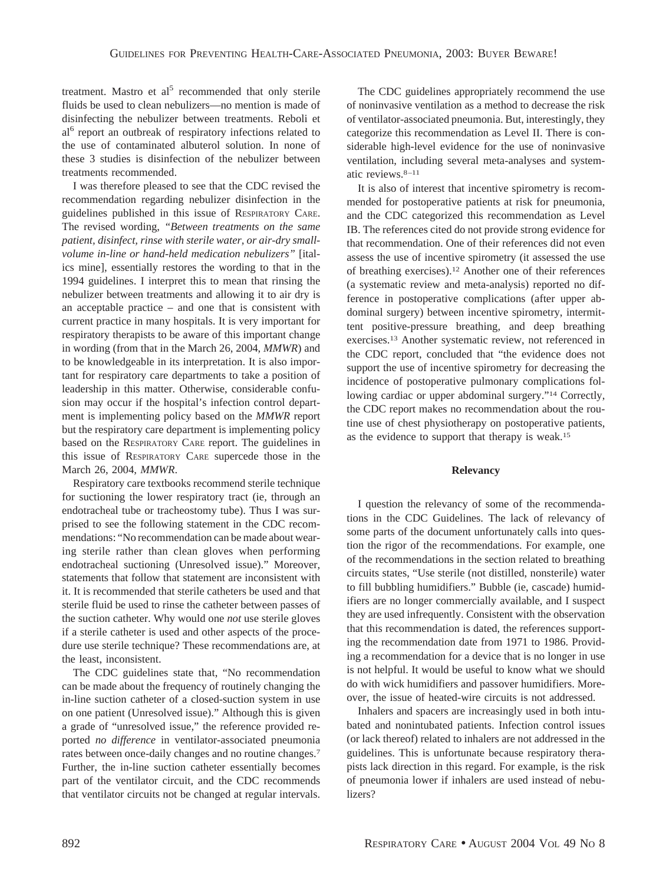treatment. Mastro et al<sup>5</sup> recommended that only sterile fluids be used to clean nebulizers—no mention is made of disinfecting the nebulizer between treatments. Reboli et al<sup>6</sup> report an outbreak of respiratory infections related to the use of contaminated albuterol solution. In none of these 3 studies is disinfection of the nebulizer between treatments recommended.

I was therefore pleased to see that the CDC revised the recommendation regarding nebulizer disinfection in the guidelines published in this issue of RESPIRATORY CARE. The revised wording, *"Between treatments on the same patient, disinfect, rinse with sterile water, or air-dry smallvolume in-line or hand-held medication nebulizers"* [italics mine], essentially restores the wording to that in the 1994 guidelines. I interpret this to mean that rinsing the nebulizer between treatments and allowing it to air dry is an acceptable practice – and one that is consistent with current practice in many hospitals. It is very important for respiratory therapists to be aware of this important change in wording (from that in the March 26, 2004, *MMWR*) and to be knowledgeable in its interpretation. It is also important for respiratory care departments to take a position of leadership in this matter. Otherwise, considerable confusion may occur if the hospital's infection control department is implementing policy based on the *MMWR* report but the respiratory care department is implementing policy based on the RESPIRATORY CARE report. The guidelines in this issue of RESPIRATORY CARE supercede those in the March 26, 2004, *MMWR*.

Respiratory care textbooks recommend sterile technique for suctioning the lower respiratory tract (ie, through an endotracheal tube or tracheostomy tube). Thus I was surprised to see the following statement in the CDC recommendations: "No recommendation can be made about wearing sterile rather than clean gloves when performing endotracheal suctioning (Unresolved issue)." Moreover, statements that follow that statement are inconsistent with it. It is recommended that sterile catheters be used and that sterile fluid be used to rinse the catheter between passes of the suction catheter. Why would one *not* use sterile gloves if a sterile catheter is used and other aspects of the procedure use sterile technique? These recommendations are, at the least, inconsistent.

The CDC guidelines state that, "No recommendation can be made about the frequency of routinely changing the in-line suction catheter of a closed-suction system in use on one patient (Unresolved issue)." Although this is given a grade of "unresolved issue," the reference provided reported *no difference* in ventilator-associated pneumonia rates between once-daily changes and no routine changes.7 Further, the in-line suction catheter essentially becomes part of the ventilator circuit, and the CDC recommends that ventilator circuits not be changed at regular intervals.

The CDC guidelines appropriately recommend the use of noninvasive ventilation as a method to decrease the risk of ventilator-associated pneumonia. But, interestingly, they categorize this recommendation as Level II. There is considerable high-level evidence for the use of noninvasive ventilation, including several meta-analyses and systematic reviews.8–11

It is also of interest that incentive spirometry is recommended for postoperative patients at risk for pneumonia, and the CDC categorized this recommendation as Level IB. The references cited do not provide strong evidence for that recommendation. One of their references did not even assess the use of incentive spirometry (it assessed the use of breathing exercises).12 Another one of their references (a systematic review and meta-analysis) reported no difference in postoperative complications (after upper abdominal surgery) between incentive spirometry, intermittent positive-pressure breathing, and deep breathing exercises.13 Another systematic review, not referenced in the CDC report, concluded that "the evidence does not support the use of incentive spirometry for decreasing the incidence of postoperative pulmonary complications following cardiac or upper abdominal surgery."14 Correctly, the CDC report makes no recommendation about the routine use of chest physiotherapy on postoperative patients, as the evidence to support that therapy is weak.15

#### **Relevancy**

I question the relevancy of some of the recommendations in the CDC Guidelines. The lack of relevancy of some parts of the document unfortunately calls into question the rigor of the recommendations. For example, one of the recommendations in the section related to breathing circuits states, "Use sterile (not distilled, nonsterile) water to fill bubbling humidifiers." Bubble (ie, cascade) humidifiers are no longer commercially available, and I suspect they are used infrequently. Consistent with the observation that this recommendation is dated, the references supporting the recommendation date from 1971 to 1986. Providing a recommendation for a device that is no longer in use is not helpful. It would be useful to know what we should do with wick humidifiers and passover humidifiers. Moreover, the issue of heated-wire circuits is not addressed.

Inhalers and spacers are increasingly used in both intubated and nonintubated patients. Infection control issues (or lack thereof) related to inhalers are not addressed in the guidelines. This is unfortunate because respiratory therapists lack direction in this regard. For example, is the risk of pneumonia lower if inhalers are used instead of nebulizers?